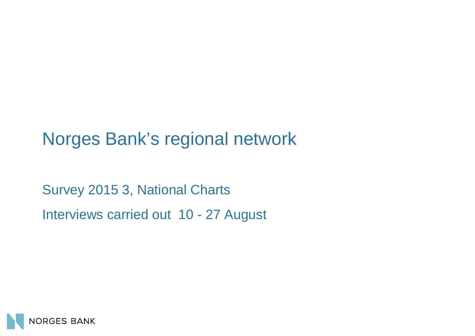# Norges Bank's regional network

Survey 2015 3, National Charts Interviews carried out 10 - 27 August

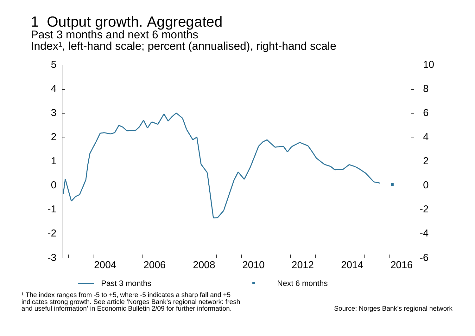#### 1 Output growth. Aggregated Past 3 months and next 6 months Index<sup>1</sup>, left-hand scale; percent (annualised), right-hand scale



<sup>1</sup> The index ranges from -5 to  $+5$ , where -5 indicates a sharp fall and  $+5$ indicates strong growth. See article 'Norges Bank's regional network: fresh and useful information' in Economic Bulletin 2/09 for further information. Summer the source: Norges Bank's regional network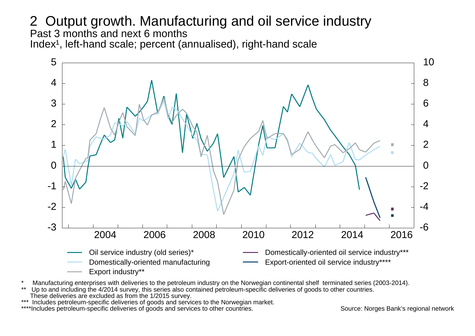2 Output growth. Manufacturing and oil service industry Past 3 months and next 6 months Index<sup>1</sup>, left-hand scale; percent (annualised), right-hand scale



- \* Manufacturing enterprises with deliveries to the petroleum industry on the Norwegian continental shelf terminated series (2003-2014).<br>\*\* The to and including the 4/2014 survey, this series also contained petroleum-specif
- Up to and including the 4/2014 survey, this series also contained petroleum-specific deliveries of goods to other countries.
- These deliveries are excluded as from the 1/2015 survey.
- \*\*\* Includes petroleum-specific deliveries of goods and services to the Norwegian market.
- \*Includes petroleum-specific deliveries of goods and services to other countries. Source: Norges Bank's regional network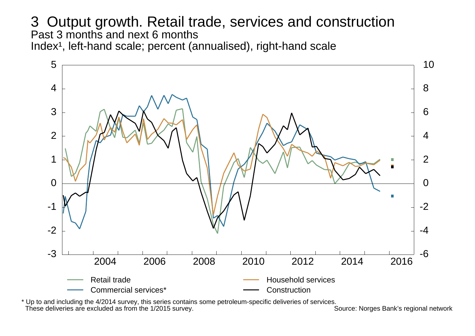3 Output growth. Retail trade, services and construction Past 3 months and next 6 months Index<sup>1</sup>, left-hand scale; percent (annualised), right-hand scale



\* Up to and including the 4/2014 survey, this series contains some petroleum-specific deliveries of services. These deliveries are excluded as from the  $1/2015$  survey.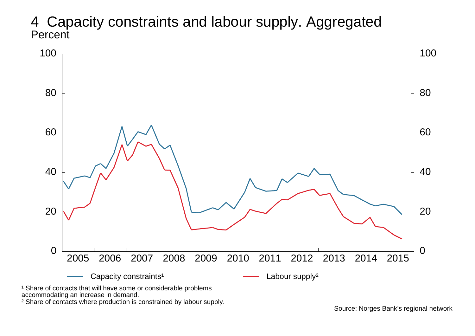4 Capacity constraints and labour supply. Aggregated **Percent** 



<sup>1</sup> Share of contacts that will have some or considerable problems accommodating an increase in demand.

² Share of contacts where production is constrained by labour supply.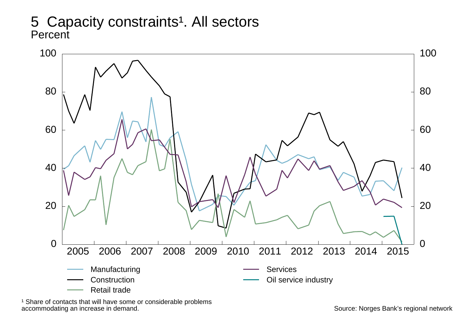### 5 Capacity constraints<sup>1</sup>. All sectors **Percent**



<sup>1</sup> Share of contacts that will have some or considerable problems accommodating an increase in demand.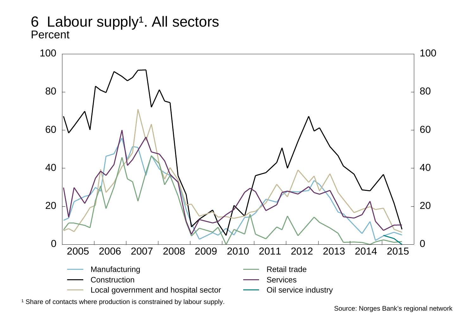6 Labour supply<sup>1</sup>. All sectors **Percent** 

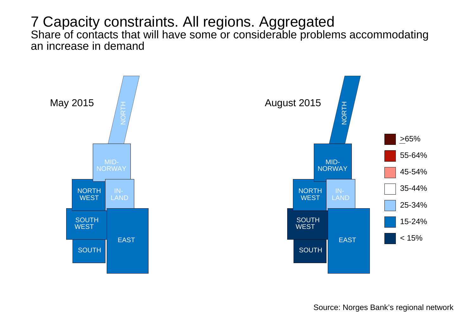#### 7 Capacity constraints. All regions. Aggregated Share of contacts that will have some or considerable problems accommodating an increase in demand

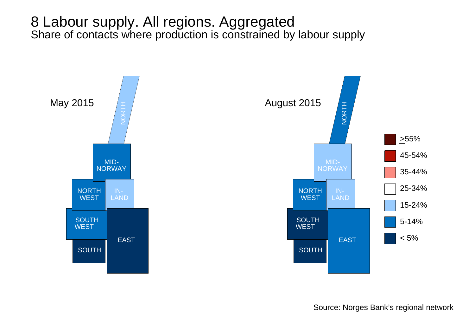### 8 Labour supply. All regions. Aggregated Share of contacts where production is constrained by labour supply

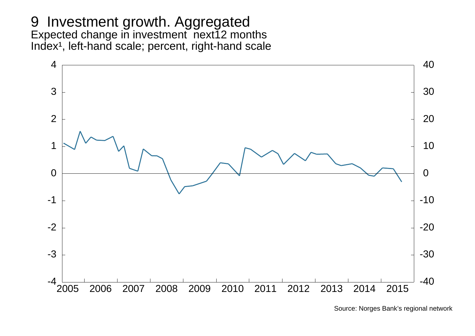#### 9 Investment growth. Aggregated Expected change in investment next12 months Index<sup>1</sup>, left-hand scale; percent, right-hand scale



Source: Norges Bank's regional network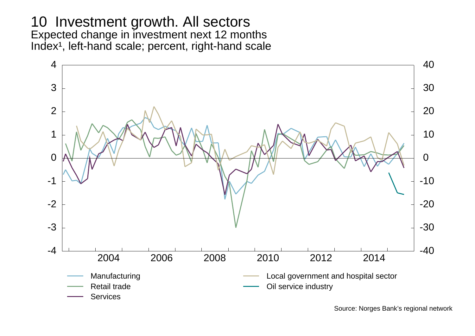#### 10 Investment growth. All sectors Expected change in investment next 12 months Index<sup>1</sup>, left-hand scale; percent, right-hand scale

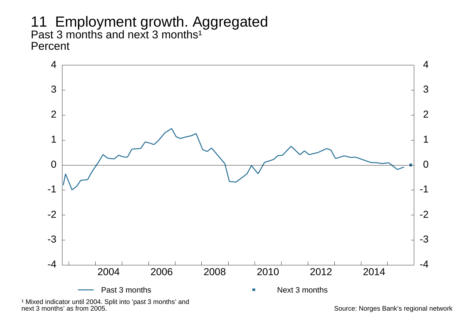11 Employment growth. Aggregated Past 3 months and next 3 months $^{\mathsf{1}}$ Percent



next 3 months' as from 2005. Source: Norges Bank's regional network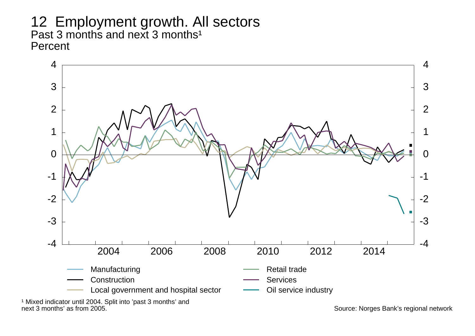12 Employment growth. All sectors Past 3 months and next 3 months<sup>1</sup> **Percent** 



<sup>1</sup> Mixed indicator until 2004. Split into 'past 3 months' and next 3 months' as from 2005. Source: Norges Bank's regional network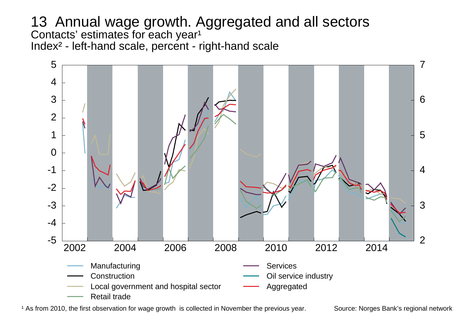13 Annual wage growth. Aggregated and all sectors Contacts' estimates for each year $^{\mathsf{1}}$ Index² - left-hand scale, percent - right-hand scale



<sup>1</sup> As from 2010, the first observation for wage growth is collected in November the previous year. Source: Norges Bank's regional network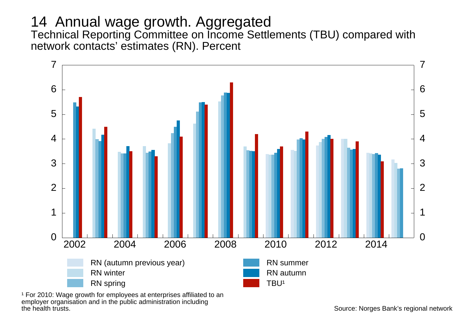# 14 Annual wage growth. Aggregated

Technical Reporting Committee on Income Settlements (TBU) compared with network contacts' estimates (RN). Percent



<sup>1</sup> For 2010: Wage growth for employees at enterprises affiliated to an employer organisation and in the public administration including<br>the health trusts.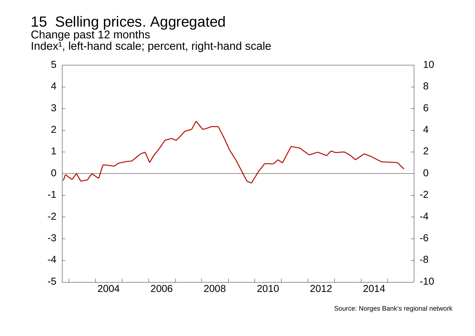#### 15 Selling prices. Aggregated Change past 12 months Index<sup>1</sup>, left-hand scale; percent, right-hand scale



Source: Norges Bank's regional network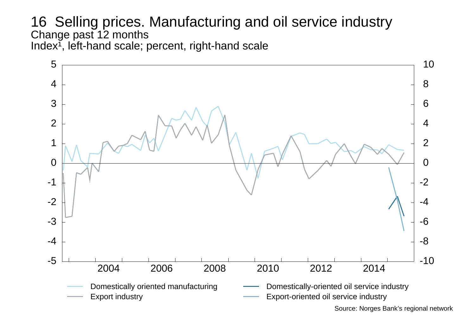#### 16 Selling prices. Manufacturing and oil service industry Change past 12 months Index $\tilde{I}$ , left-hand scale; percent, right-hand scale

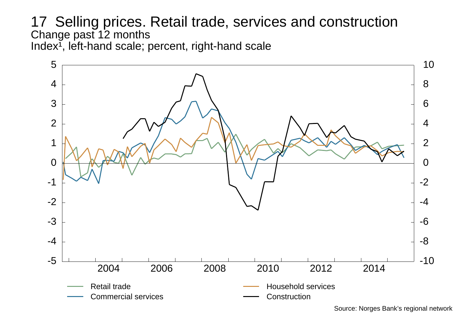#### 17 Selling prices. Retail trade, services and construction Change past 12 months Index<sup>1</sup>, left-hand scale; percent, right-hand scale



Source: Norges Bank's regional network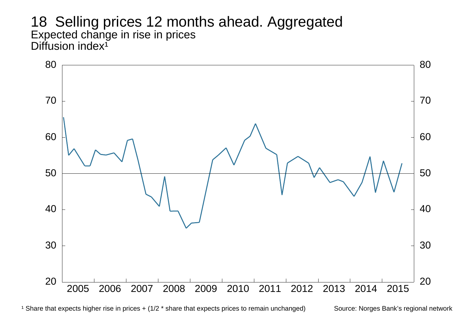18 Selling prices 12 months ahead. Aggregated Expected change in rise in prices Diffusion index<sup>1</sup>



<sup>1</sup> Share that expects higher rise in prices + (1/2 \* share that expects prices to remain unchanged) Source: Norges Bank's regional network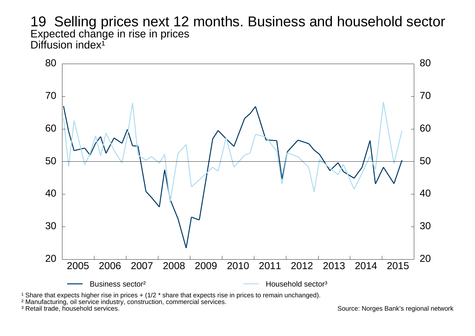19 Selling prices next 12 months. Business and household sector Expected change in rise in prices Diffusion index<sup>1</sup>



<sup>1</sup> Share that expects higher rise in prices  $+$  (1/2  $*$  share that expects rise in prices to remain unchanged).

<sup>2</sup> Manufacturing, oil service industry, construction, commercial services.<br><sup>3</sup> Retail trade, household services.